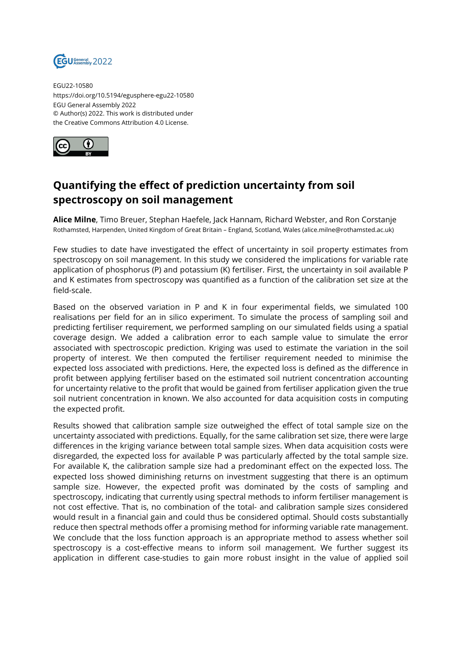

EGU22-10580 https://doi.org/10.5194/egusphere-egu22-10580 EGU General Assembly 2022 © Author(s) 2022. This work is distributed under the Creative Commons Attribution 4.0 License.



## **Quantifying the effect of prediction uncertainty from soil spectroscopy on soil management**

**Alice Milne**, Timo Breuer, Stephan Haefele, Jack Hannam, Richard Webster, and Ron Corstanje Rothamsted, Harpenden, United Kingdom of Great Britain – England, Scotland, Wales (alice.milne@rothamsted.ac.uk)

Few studies to date have investigated the effect of uncertainty in soil property estimates from spectroscopy on soil management. In this study we considered the implications for variable rate application of phosphorus (P) and potassium (K) fertiliser. First, the uncertainty in soil available P and K estimates from spectroscopy was quantified as a function of the calibration set size at the field-scale.

Based on the observed variation in P and K in four experimental fields, we simulated 100 realisations per field for an in silico experiment. To simulate the process of sampling soil and predicting fertiliser requirement, we performed sampling on our simulated fields using a spatial coverage design. We added a calibration error to each sample value to simulate the error associated with spectroscopic prediction. Kriging was used to estimate the variation in the soil property of interest. We then computed the fertiliser requirement needed to minimise the expected loss associated with predictions. Here, the expected loss is defined as the difference in profit between applying fertiliser based on the estimated soil nutrient concentration accounting for uncertainty relative to the profit that would be gained from fertiliser application given the true soil nutrient concentration in known. We also accounted for data acquisition costs in computing the expected profit.

Results showed that calibration sample size outweighed the effect of total sample size on the uncertainty associated with predictions. Equally, for the same calibration set size, there were large differences in the kriging variance between total sample sizes. When data acquisition costs were disregarded, the expected loss for available P was particularly affected by the total sample size. For available K, the calibration sample size had a predominant effect on the expected loss. The expected loss showed diminishing returns on investment suggesting that there is an optimum sample size. However, the expected profit was dominated by the costs of sampling and spectroscopy, indicating that currently using spectral methods to inform fertiliser management is not cost effective. That is, no combination of the total- and calibration sample sizes considered would result in a financial gain and could thus be considered optimal. Should costs substantially reduce then spectral methods offer a promising method for informing variable rate management. We conclude that the loss function approach is an appropriate method to assess whether soil spectroscopy is a cost-effective means to inform soil management. We further suggest its application in different case-studies to gain more robust insight in the value of applied soil